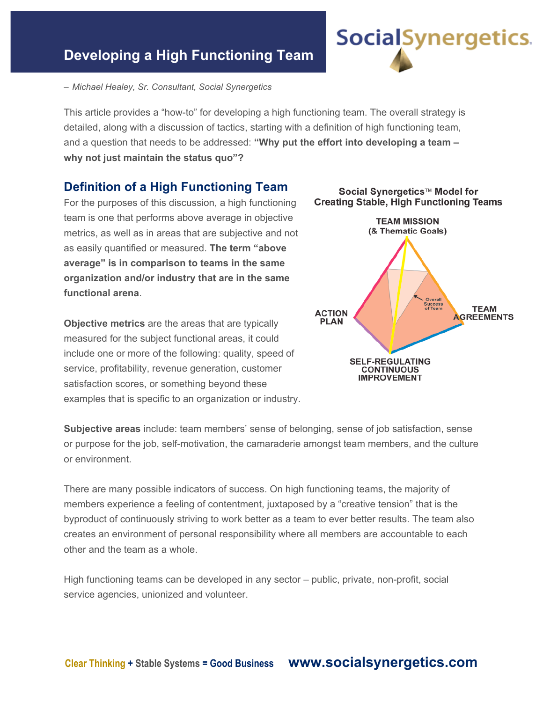# **Developing a High Functioning Team**



This article provides a "how-to" for developing a high functioning team. The overall strategy is detailed, along with a discussion of tactics, starting with a definition of high functioning team, and a question that needs to be addressed: **"Why put the effort into developing a team – why not just maintain the status quo"?**

#### **Definition of a High Functioning Team**

For the purposes of this discussion, a high functioning team is one that performs above average in objective metrics, as well as in areas that are subjective and not as easily quantified or measured. **The term "above average" is in comparison to teams in the same organization and/or industry that are in the same functional arena**.

**Objective metrics** are the areas that are typically measured for the subject functional areas, it could include one or more of the following: quality, speed of service, profitability, revenue generation, customer satisfaction scores, or something beyond these examples that is specific to an organization or industry.



Social Synergetics™ Model for

**Social**Synergetics.

**Subjective areas** include: team members' sense of belonging, sense of job satisfaction, sense or purpose for the job, self-motivation, the camaraderie amongst team members, and the culture or environment.

There are many possible indicators of success. On high functioning teams, the majority of members experience a feeling of contentment, juxtaposed by a "creative tension" that is the byproduct of continuously striving to work better as a team to ever better results. The team also creates an environment of personal responsibility where all members are accountable to each other and the team as a whole.

High functioning teams can be developed in any sector – public, private, non-profit, social service agencies, unionized and volunteer.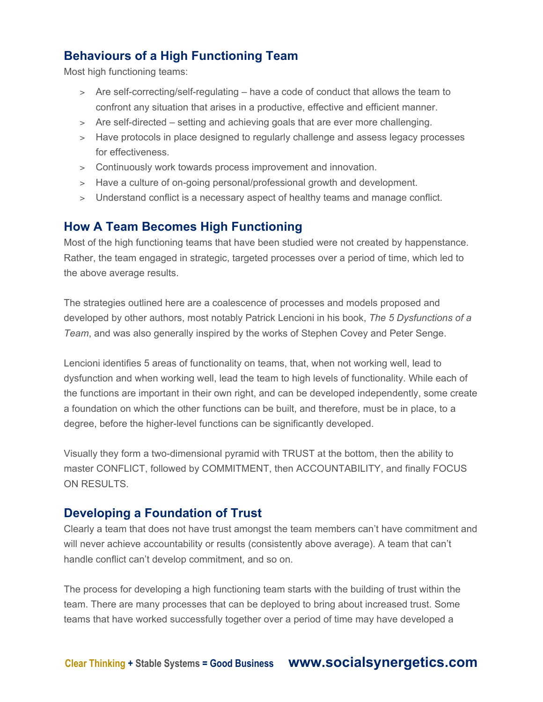# **Behaviours of a High Functioning Team**

Most high functioning teams:

- > Are self-correcting/self-regulating have a code of conduct that allows the team to confront any situation that arises in a productive, effective and efficient manner.
- > Are self-directed setting and achieving goals that are ever more challenging.
- > Have protocols in place designed to regularly challenge and assess legacy processes for effectiveness.
- > Continuously work towards process improvement and innovation.
- > Have a culture of on-going personal/professional growth and development.
- > Understand conflict is a necessary aspect of healthy teams and manage conflict.

## **How A Team Becomes High Functioning**

Most of the high functioning teams that have been studied were not created by happenstance. Rather, the team engaged in strategic, targeted processes over a period of time, which led to the above average results.

The strategies outlined here are a coalescence of processes and models proposed and developed by other authors, most notably Patrick Lencioni in his book, *The 5 Dysfunctions of a Team*, and was also generally inspired by the works of Stephen Covey and Peter Senge.

Lencioni identifies 5 areas of functionality on teams, that, when not working well, lead to dysfunction and when working well, lead the team to high levels of functionality. While each of the functions are important in their own right, and can be developed independently, some create a foundation on which the other functions can be built, and therefore, must be in place, to a degree, before the higher-level functions can be significantly developed.

Visually they form a two-dimensional pyramid with TRUST at the bottom, then the ability to master CONFLICT, followed by COMMITMENT, then ACCOUNTABILITY, and finally FOCUS ON RESULTS.

## **Developing a Foundation of Trust**

Clearly a team that does not have trust amongst the team members can't have commitment and will never achieve accountability or results (consistently above average). A team that can't handle conflict can't develop commitment, and so on.

The process for developing a high functioning team starts with the building of trust within the team. There are many processes that can be deployed to bring about increased trust. Some teams that have worked successfully together over a period of time may have developed a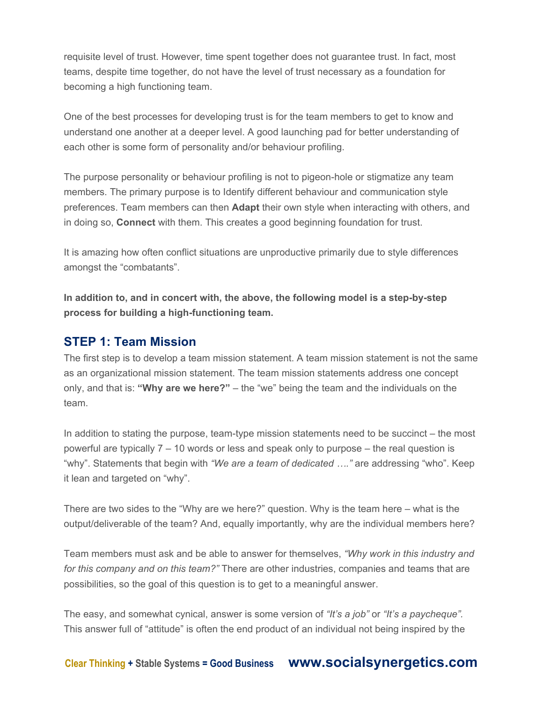requisite level of trust. However, time spent together does not guarantee trust. In fact, most teams, despite time together, do not have the level of trust necessary as a foundation for becoming a high functioning team.

One of the best processes for developing trust is for the team members to get to know and understand one another at a deeper level. A good launching pad for better understanding of each other is some form of personality and/or behaviour profiling.

The purpose personality or behaviour profiling is not to pigeon-hole or stigmatize any team members. The primary purpose is to Identify different behaviour and communication style preferences. Team members can then **Adapt** their own style when interacting with others, and in doing so, **Connect** with them. This creates a good beginning foundation for trust.

It is amazing how often conflict situations are unproductive primarily due to style differences amongst the "combatants".

**In addition to, and in concert with, the above, the following model is a step-by-step process for building a high-functioning team.**

## **STEP 1: Team Mission**

The first step is to develop a team mission statement. A team mission statement is not the same as an organizational mission statement. The team mission statements address one concept only, and that is: **"Why are we here?"** – the "we" being the team and the individuals on the team.

In addition to stating the purpose, team-type mission statements need to be succinct – the most powerful are typically 7 – 10 words or less and speak only to purpose – the real question is "why". Statements that begin with *"We are a team of dedicated …."* are addressing "who". Keep it lean and targeted on "why".

There are two sides to the "Why are we here?" question. Why is the team here – what is the output/deliverable of the team? And, equally importantly, why are the individual members here?

Team members must ask and be able to answer for themselves, *"Why work in this industry and for this company and on this team?"* There are other industries, companies and teams that are possibilities, so the goal of this question is to get to a meaningful answer.

The easy, and somewhat cynical, answer is some version of *"It's a job"* or *"It's a paycheque".* This answer full of "attitude" is often the end product of an individual not being inspired by the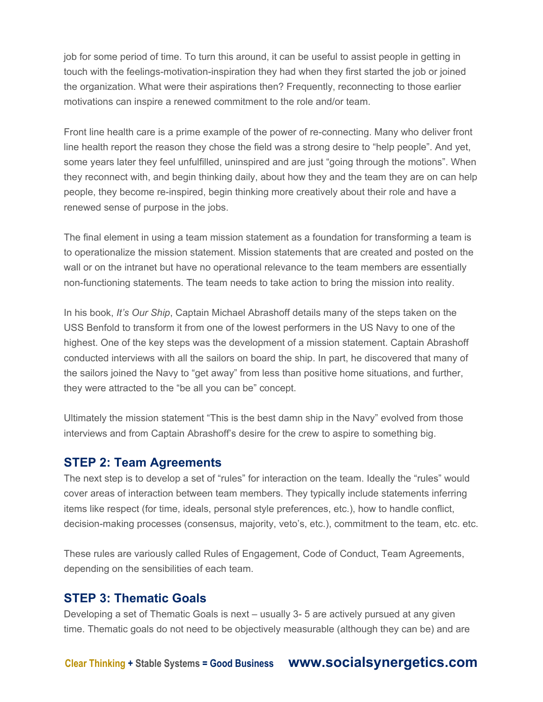job for some period of time. To turn this around, it can be useful to assist people in getting in touch with the feelings-motivation-inspiration they had when they first started the job or joined the organization. What were their aspirations then? Frequently, reconnecting to those earlier motivations can inspire a renewed commitment to the role and/or team.

Front line health care is a prime example of the power of re-connecting. Many who deliver front line health report the reason they chose the field was a strong desire to "help people". And yet, some years later they feel unfulfilled, uninspired and are just "going through the motions". When they reconnect with, and begin thinking daily, about how they and the team they are on can help people, they become re-inspired, begin thinking more creatively about their role and have a renewed sense of purpose in the jobs.

The final element in using a team mission statement as a foundation for transforming a team is to operationalize the mission statement. Mission statements that are created and posted on the wall or on the intranet but have no operational relevance to the team members are essentially non-functioning statements. The team needs to take action to bring the mission into reality.

In his book, *It's Our Ship*, Captain Michael Abrashoff details many of the steps taken on the USS Benfold to transform it from one of the lowest performers in the US Navy to one of the highest. One of the key steps was the development of a mission statement. Captain Abrashoff conducted interviews with all the sailors on board the ship. In part, he discovered that many of the sailors joined the Navy to "get away" from less than positive home situations, and further, they were attracted to the "be all you can be" concept.

Ultimately the mission statement "This is the best damn ship in the Navy" evolved from those interviews and from Captain Abrashoff's desire for the crew to aspire to something big.

## **STEP 2: Team Agreements**

The next step is to develop a set of "rules" for interaction on the team. Ideally the "rules" would cover areas of interaction between team members. They typically include statements inferring items like respect (for time, ideals, personal style preferences, etc.), how to handle conflict, decision-making processes (consensus, majority, veto's, etc.), commitment to the team, etc. etc.

These rules are variously called Rules of Engagement, Code of Conduct, Team Agreements, depending on the sensibilities of each team.

## **STEP 3: Thematic Goals**

Developing a set of Thematic Goals is next – usually 3- 5 are actively pursued at any given time. Thematic goals do not need to be objectively measurable (although they can be) and are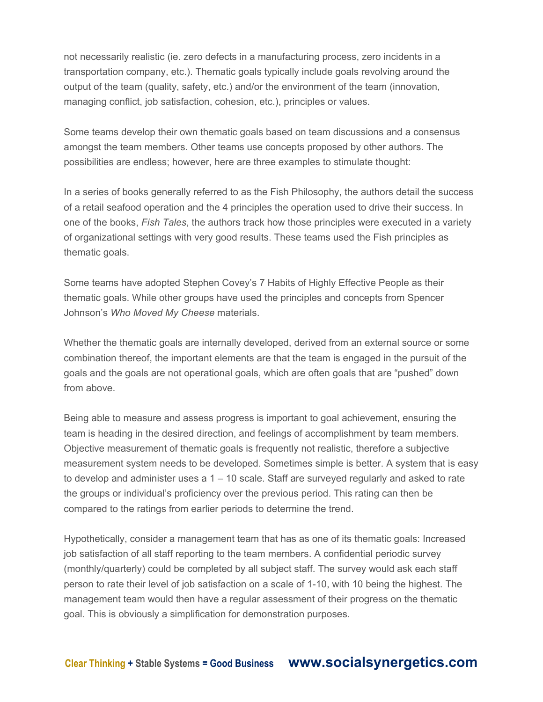not necessarily realistic (ie. zero defects in a manufacturing process, zero incidents in a transportation company, etc.). Thematic goals typically include goals revolving around the output of the team (quality, safety, etc.) and/or the environment of the team (innovation, managing conflict, job satisfaction, cohesion, etc.), principles or values.

Some teams develop their own thematic goals based on team discussions and a consensus amongst the team members. Other teams use concepts proposed by other authors. The possibilities are endless; however, here are three examples to stimulate thought:

In a series of books generally referred to as the Fish Philosophy, the authors detail the success of a retail seafood operation and the 4 principles the operation used to drive their success. In one of the books, *Fish Tales*, the authors track how those principles were executed in a variety of organizational settings with very good results. These teams used the Fish principles as thematic goals.

Some teams have adopted Stephen Covey's 7 Habits of Highly Effective People as their thematic goals. While other groups have used the principles and concepts from Spencer Johnson's *Who Moved My Cheese* materials.

Whether the thematic goals are internally developed, derived from an external source or some combination thereof, the important elements are that the team is engaged in the pursuit of the goals and the goals are not operational goals, which are often goals that are "pushed" down from above.

Being able to measure and assess progress is important to goal achievement, ensuring the team is heading in the desired direction, and feelings of accomplishment by team members. Objective measurement of thematic goals is frequently not realistic, therefore a subjective measurement system needs to be developed. Sometimes simple is better. A system that is easy to develop and administer uses a 1 – 10 scale. Staff are surveyed regularly and asked to rate the groups or individual's proficiency over the previous period. This rating can then be compared to the ratings from earlier periods to determine the trend.

Hypothetically, consider a management team that has as one of its thematic goals: Increased job satisfaction of all staff reporting to the team members. A confidential periodic survey (monthly/quarterly) could be completed by all subject staff. The survey would ask each staff person to rate their level of job satisfaction on a scale of 1-10, with 10 being the highest. The management team would then have a regular assessment of their progress on the thematic goal. This is obviously a simplification for demonstration purposes.